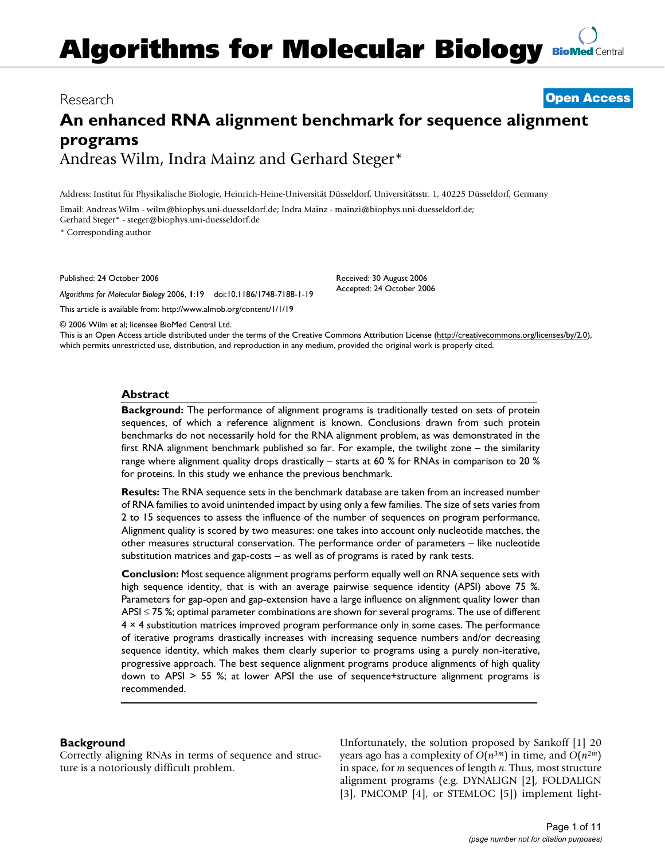# **Algorithms for Molecular Biology [BioMed](http://www.biomedcentral.com/)** Central

# Research **[Open Access](http://www.biomedcentral.com/info/about/charter/)**

# **An enhanced RNA alignment benchmark for sequence alignment programs** Andreas Wilm, Indra Mainz and Gerhard Steger\*

Address: Institut für Physikalische Biologie, Heinrich-Heine-Universität Düsseldorf, Universitätsstr. 1, 40225 Düsseldorf, Germany

Email: Andreas Wilm - wilm@biophys.uni-duesseldorf.de; Indra Mainz - mainzi@biophys.uni-duesseldorf.de; Gerhard Steger\* - steger@biophys.uni-duesseldorf.de

\* Corresponding author

Published: 24 October 2006

*Algorithms for Molecular Biology* 2006, **1**:19 doi:10.1186/1748-7188-1-19

[This article is available from: http://www.almob.org/content/1/1/19](http://www.almob.org/content/1/1/19)

Received: 30 August 2006 Accepted: 24 October 2006

© 2006 Wilm et al; licensee BioMed Central Ltd.

This is an Open Access article distributed under the terms of the Creative Commons Attribution License [\(http://creativecommons.org/licenses/by/2.0\)](http://creativecommons.org/licenses/by/2.0), which permits unrestricted use, distribution, and reproduction in any medium, provided the original work is properly cited.

#### **Abstract**

**Background:** The performance of alignment programs is traditionally tested on sets of protein sequences, of which a reference alignment is known. Conclusions drawn from such protein benchmarks do not necessarily hold for the RNA alignment problem, as was demonstrated in the first RNA alignment benchmark published so far. For example, the twilight zone – the similarity range where alignment quality drops drastically – starts at 60 % for RNAs in comparison to 20 % for proteins. In this study we enhance the previous benchmark.

**Results:** The RNA sequence sets in the benchmark database are taken from an increased number of RNA families to avoid unintended impact by using only a few families. The size of sets varies from 2 to 15 sequences to assess the influence of the number of sequences on program performance. Alignment quality is scored by two measures: one takes into account only nucleotide matches, the other measures structural conservation. The performance order of parameters – like nucleotide substitution matrices and gap-costs – as well as of programs is rated by rank tests.

**Conclusion:** Most sequence alignment programs perform equally well on RNA sequence sets with high sequence identity, that is with an average pairwise sequence identity (APSI) above 75 %. Parameters for gap-open and gap-extension have a large influence on alignment quality lower than APSI ≤ 75 %; optimal parameter combinations are shown for several programs. The use of different 4 × 4 substitution matrices improved program performance only in some cases. The performance of iterative programs drastically increases with increasing sequence numbers and/or decreasing sequence identity, which makes them clearly superior to programs using a purely non-iterative, progressive approach. The best sequence alignment programs produce alignments of high quality down to APSI > 55 %; at lower APSI the use of sequence+structure alignment programs is recommended.

### **Background**

Correctly aligning RNAs in terms of sequence and structure is a notoriously difficult problem.

Unfortunately, the solution proposed by Sankoff [1] 20 years ago has a complexity of  $O(n^{3m})$  in time, and  $O(n^{2m})$ in space, for *m* sequences of length *n*. Thus, most structure alignment programs (e.g. DYNALIGN [2], FOLDALIGN [3], PMCOMP [4], or STEMLOC [5]) implement light-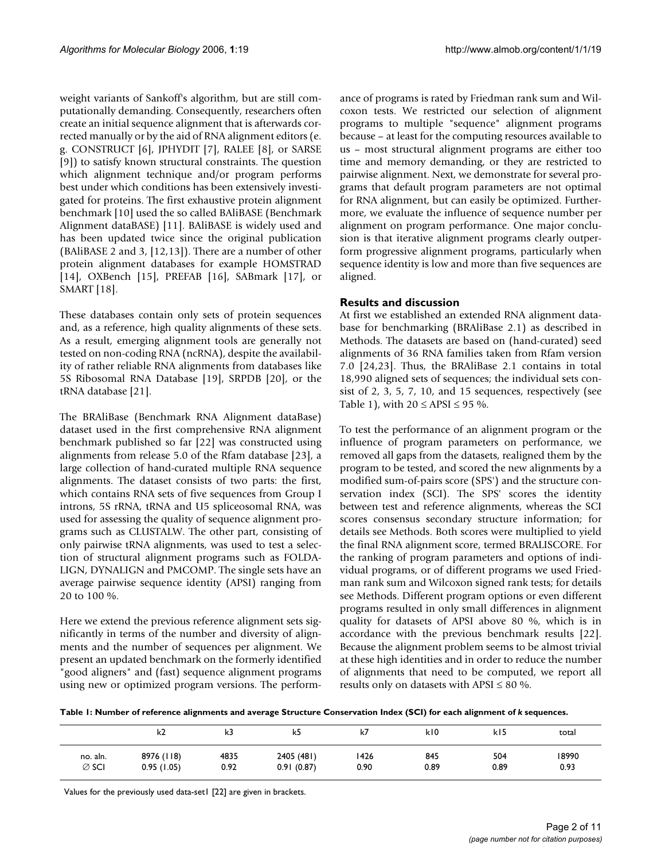weight variants of Sankoff's algorithm, but are still computationally demanding. Consequently, researchers often create an initial sequence alignment that is afterwards corrected manually or by the aid of RNA alignment editors (e. g. CONSTRUCT [6], JPHYDIT [7], RALEE [8], or SARSE [9]) to satisfy known structural constraints. The question which alignment technique and/or program performs best under which conditions has been extensively investigated for proteins. The first exhaustive protein alignment benchmark [10] used the so called BAliBASE (Benchmark Alignment dataBASE) [11]. BAliBASE is widely used and has been updated twice since the original publication (BAliBASE 2 and 3, [12,13]). There are a number of other protein alignment databases for example HOMSTRAD [14], OXBench [15], PREFAB [16], SABmark [17], or SMART [18].

These databases contain only sets of protein sequences and, as a reference, high quality alignments of these sets. As a result, emerging alignment tools are generally not tested on non-coding RNA (ncRNA), despite the availability of rather reliable RNA alignments from databases like 5S Ribosomal RNA Database [19], SRPDB [20], or the tRNA database [21].

The BRAliBase (Benchmark RNA Alignment dataBase) dataset used in the first comprehensive RNA alignment benchmark published so far [22] was constructed using alignments from release 5.0 of the Rfam database [23], a large collection of hand-curated multiple RNA sequence alignments. The dataset consists of two parts: the first, which contains RNA sets of five sequences from Group I introns, 5S rRNA, tRNA and U5 spliceosomal RNA, was used for assessing the quality of sequence alignment programs such as CLUSTALW. The other part, consisting of only pairwise tRNA alignments, was used to test a selection of structural alignment programs such as FOLDA-LIGN, DYNALIGN and PMCOMP. The single sets have an average pairwise sequence identity (APSI) ranging from 20 to 100 %.

Here we extend the previous reference alignment sets significantly in terms of the number and diversity of alignments and the number of sequences per alignment. We present an updated benchmark on the formerly identified "good aligners" and (fast) sequence alignment programs using new or optimized program versions. The performance of programs is rated by Friedman rank sum and Wilcoxon tests. We restricted our selection of alignment programs to multiple "sequence" alignment programs because – at least for the computing resources available to us – most structural alignment programs are either too time and memory demanding, or they are restricted to pairwise alignment. Next, we demonstrate for several programs that default program parameters are not optimal for RNA alignment, but can easily be optimized. Furthermore, we evaluate the influence of sequence number per alignment on program performance. One major conclusion is that iterative alignment programs clearly outperform progressive alignment programs, particularly when sequence identity is low and more than five sequences are aligned.

# **Results and discussion**

At first we established an extended RNA alignment database for benchmarking (BRAliBase 2.1) as described in Methods. The datasets are based on (hand-curated) seed alignments of 36 RNA families taken from Rfam version 7.0 [24,23]. Thus, the BRAliBase 2.1 contains in total 18,990 aligned sets of sequences; the individual sets consist of 2, 3, 5, 7, 10, and 15 sequences, respectively (see Table 1), with  $20 \leq APSI \leq 95$  %.

To test the performance of an alignment program or the influence of program parameters on performance, we removed all gaps from the datasets, realigned them by the program to be tested, and scored the new alignments by a modified sum-of-pairs score (SPS') and the structure conservation index (SCI). The SPS' scores the identity between test and reference alignments, whereas the SCI scores consensus secondary structure information; for details see Methods. Both scores were multiplied to yield the final RNA alignment score, termed BRALISCORE. For the ranking of program parameters and options of individual programs, or of different programs we used Friedman rank sum and Wilcoxon signed rank tests; for details see Methods. Different program options or even different programs resulted in only small differences in alignment quality for datasets of APSI above 80 %, which is in accordance with the previous benchmark results [22]. Because the alignment problem seems to be almost trivial at these high identities and in order to reduce the number of alignments that need to be computed, we report all results only on datasets with APSI  $\leq 80$  %.

Table 1: Number of reference alignments and average Structure Conservation Index (SCI) for each alignment of *k* sequences.

|                   | k2         | k3   | k5         | k7   | kI0  | kI5  | total |
|-------------------|------------|------|------------|------|------|------|-------|
| no. aln.          | 8976 (118) | 4835 | 2405 (481) | 1426 | 845  | 504  | 18990 |
| $\varnothing$ SCI | 0.95(1.05) | 0.92 | 0.91(0.87) | 0.90 | 0.89 | 0.89 | 0.93  |

Values for the previously used data-set1 [22] are given in brackets.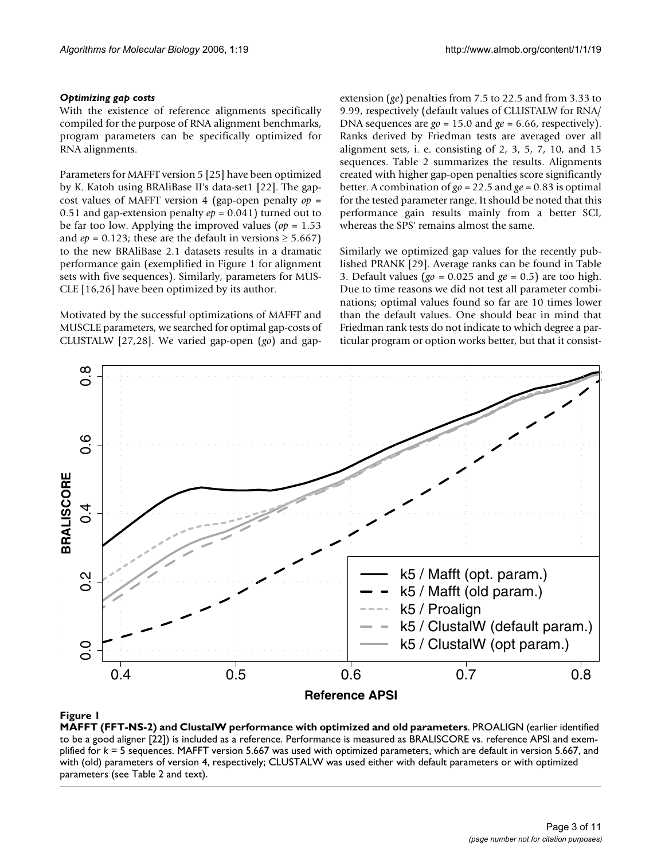### *Optimizing gap costs*

With the existence of reference alignments specifically compiled for the purpose of RNA alignment benchmarks, program parameters can be specifically optimized for RNA alignments.

Parameters for MAFFT version 5 [25] have been optimized by K. Katoh using BRAliBase II's data-set1 [22]. The gapcost values of MAFFT version 4 (gap-open penalty *op* = 0.51 and gap-extension penalty *ep* = 0.041) turned out to be far too low. Applying the improved values (*op* = 1.53 and  $ep = 0.123$ ; these are the default in versions  $\geq 5.667$ ) to the new BRAliBase 2.1 datasets results in a dramatic performance gain (exemplified in Figure 1 for alignment sets with five sequences). Similarly, parameters for MUS-CLE [16,26] have been optimized by its author.

Motivated by the successful optimizations of MAFFT and MUSCLE parameters, we searched for optimal gap-costs of CLUSTALW [27,28]. We varied gap-open (*go*) and gapextension (*ge*) penalties from 7.5 to 22.5 and from 3.33 to 9.99, respectively (default values of CLUSTALW for RNA/ DNA sequences are *go* = 15.0 and *ge* = 6.66, respectively). Ranks derived by Friedman tests are averaged over all alignment sets, i. e. consisting of  $2, 3, 5, 7, 10$ , and  $15$ sequences. Table 2 summarizes the results. Alignments created with higher gap-open penalties score significantly better. A combination of *go* = 22.5 and *ge* = 0.83 is optimal for the tested parameter range. It should be noted that this performance gain results mainly from a better SCI, whereas the SPS' remains almost the same.

Similarly we optimized gap values for the recently published PRANK [29]. Average ranks can be found in Table 3. Default values (*go* = 0.025 and *ge* = 0.5) are too high. Due to time reasons we did not test all parameter combinations; optimal values found so far are 10 times lower than the default values. One should bear in mind that Friedman rank tests do not indicate to which degree a particular program or option works better, but that it consist-



# $$

**MAFFT (FFT-NS-2) and ClustalW performance with optimized and old parameters**. PROALIGN (earlier identified to be a good aligner [22]) is included as a reference. Performance is measured as BRALISCORE vs. reference APSI and exemplified for *k* = 5 sequences. MAFFT version 5.667 was used with optimized parameters, which are default in version 5.667, and with (old) parameters of version 4, respectively; CLUSTALW was used either with default parameters or with optimized parameters (see Table 2 and text).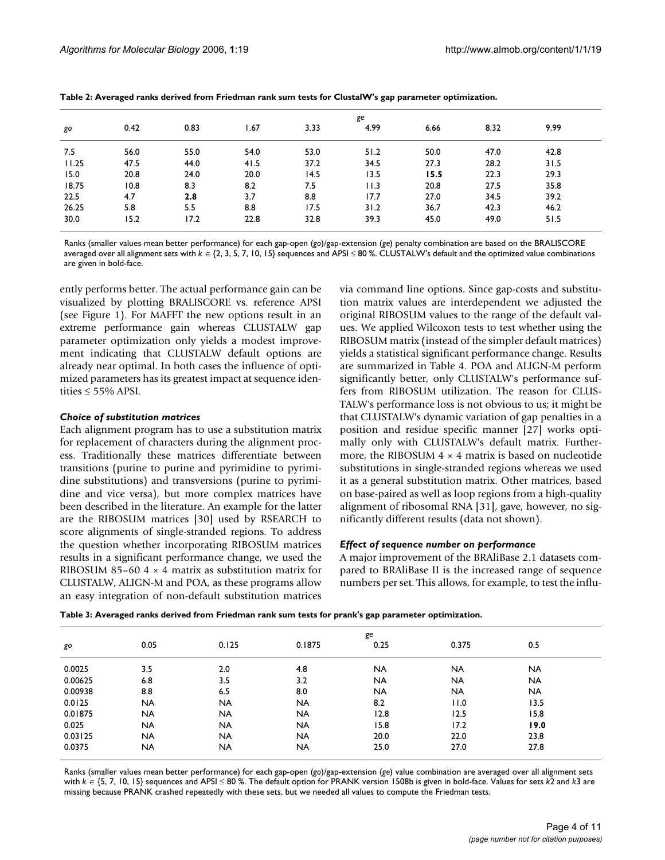|       | ge   |      |      |      |      |      |      |      |  |
|-------|------|------|------|------|------|------|------|------|--|
| go    | 0.42 | 0.83 | 1.67 | 3.33 | 4.99 | 6.66 | 8.32 | 9.99 |  |
| 7.5   | 56.0 | 55.0 | 54.0 | 53.0 | 51.2 | 50.0 | 47.0 | 42.8 |  |
| 11.25 | 47.5 | 44.0 | 41.5 | 37.2 | 34.5 | 27.3 | 28.2 | 31.5 |  |
| 15.0  | 20.8 | 24.0 | 20.0 | 14.5 | 13.5 | 15.5 | 22.3 | 29.3 |  |
| 18.75 | 10.8 | 8.3  | 8.2  | 7.5  | 11.3 | 20.8 | 27.5 | 35.8 |  |
| 22.5  | 4.7  | 2.8  | 3.7  | 8.8  | 17.7 | 27.0 | 34.5 | 39.2 |  |
| 26.25 | 5.8  | 5.5  | 8.8  | 17.5 | 31.2 | 36.7 | 42.3 | 46.2 |  |
| 30.0  | 15.2 | 17.2 | 22.8 | 32.8 | 39.3 | 45.0 | 49.0 | 51.5 |  |

**Table 2: Averaged ranks derived from Friedman rank sum tests for ClustalW's gap parameter optimization.**

Ranks (smaller values mean better performance) for each gap-open (*go*)/gap-extension (*ge*) penalty combination are based on the BRALISCORE averaged over all alignment sets with *k* ∈ {2, 3, 5, 7, 10, 15} sequences and APSI ≤ 80 %. CLUSTALW's default and the optimized value combinations are given in bold-face.

ently performs better. The actual performance gain can be visualized by plotting BRALISCORE vs. reference APSI (see Figure 1). For MAFFT the new options result in an extreme performance gain whereas CLUSTALW gap parameter optimization only yields a modest improvement indicating that CLUSTALW default options are already near optimal. In both cases the influence of optimized parameters has its greatest impact at sequence identities  $\leq 55\%$  APSI.

#### *Choice of substitution matrices*

Each alignment program has to use a substitution matrix for replacement of characters during the alignment process. Traditionally these matrices differentiate between transitions (purine to purine and pyrimidine to pyrimidine substitutions) and transversions (purine to pyrimidine and vice versa), but more complex matrices have been described in the literature. An example for the latter are the RIBOSUM matrices [30] used by RSEARCH to score alignments of single-stranded regions. To address the question whether incorporating RIBOSUM matrices results in a significant performance change, we used the RIBOSUM 85–60  $4 \times 4$  matrix as substitution matrix for CLUSTALW, ALIGN-M and POA, as these programs allow an easy integration of non-default substitution matrices

via command line options. Since gap-costs and substitution matrix values are interdependent we adjusted the original RIBOSUM values to the range of the default values. We applied Wilcoxon tests to test whether using the RIBOSUM matrix (instead of the simpler default matrices) yields a statistical significant performance change. Results are summarized in Table 4. POA and ALIGN-M perform significantly better, only CLUSTALW's performance suffers from RIBOSUM utilization. The reason for CLUS-TALW's performance loss is not obvious to us; it might be that CLUSTALW's dynamic variation of gap penalties in a position and residue specific manner [27] works optimally only with CLUSTALW's default matrix. Furthermore, the RIBOSUM  $4 \times 4$  matrix is based on nucleotide substitutions in single-stranded regions whereas we used it as a general substitution matrix. Other matrices, based on base-paired as well as loop regions from a high-quality alignment of ribosomal RNA [31], gave, however, no significantly different results (data not shown).

### *Effect of sequence number on performance*

A major improvement of the BRAliBase 2.1 datasets compared to BRAliBase II is the increased range of sequence numbers per set. This allows, for example, to test the influ-

**Table 3: Averaged ranks derived from Friedman rank sum tests for prank's gap parameter optimization.**

|           | ge        |           |           |           |           |           |  |  |
|-----------|-----------|-----------|-----------|-----------|-----------|-----------|--|--|
| 0.05      | 0.125     | 0.1875    | 0.25      | 0.375     | 0.5       |           |  |  |
|           |           |           |           |           |           |           |  |  |
|           |           |           |           |           |           |           |  |  |
| 6.8       | 3.5       | 3.2       | <b>NA</b> | <b>NA</b> | <b>NA</b> |           |  |  |
| 8.8       | 6.5       | 8.0       | <b>NA</b> | <b>NA</b> | <b>NA</b> |           |  |  |
| <b>NA</b> | <b>NA</b> | <b>NA</b> | 8.2       | 11.0      | 13.5      |           |  |  |
| <b>NA</b> | <b>NA</b> | <b>NA</b> | 12.8      | 12.5      | 15.8      |           |  |  |
| <b>NA</b> | <b>NA</b> | <b>NA</b> | 15.8      | 17.2      | 19.0      |           |  |  |
| <b>NA</b> | <b>NA</b> | <b>NA</b> | 20.0      | 22.0      | 23.8      |           |  |  |
| <b>NA</b> | <b>NA</b> | NA        | 25.0      | 27.0      | 27.8      |           |  |  |
|           | 3.5       | 2.0       | 4.8       | <b>NA</b> | <b>NA</b> | <b>NA</b> |  |  |

Ranks (smaller values mean better performance) for each gap-open (*go*)/gap-extension (*ge*) value combination are averaged over all alignment sets with *k* ∈ {5, 7, 10, 15} sequences and APSI ≤ 80 %. The default option for PRANK version 1508b is given in bold-face. Values for sets *k*2 and *k*3 are missing because PRANK crashed repeatedly with these sets, but we needed all values to compute the Friedman tests.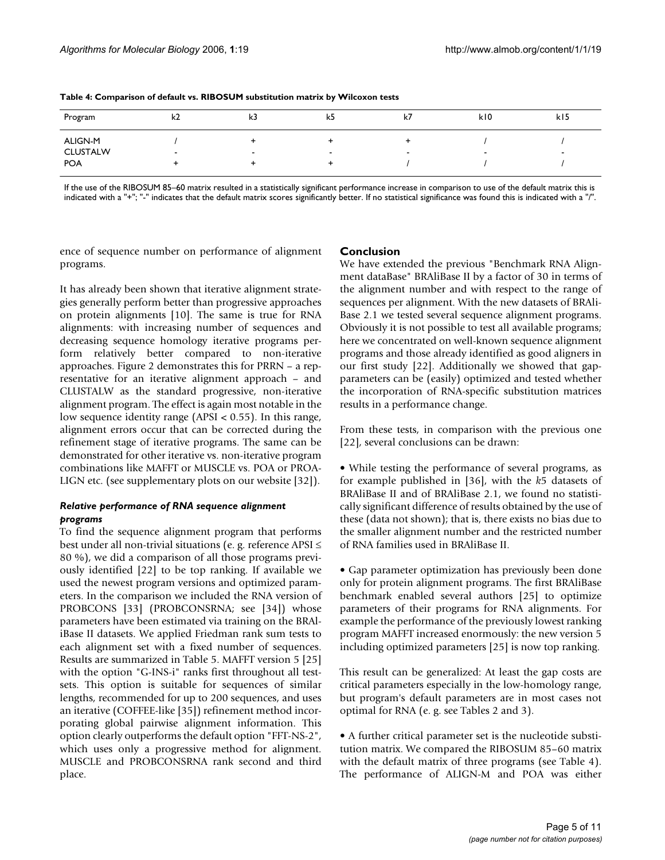| Program         | k2     | k3                       | k5                       | k7                       | k10                      | k15 |
|-----------------|--------|--------------------------|--------------------------|--------------------------|--------------------------|-----|
| ALIGN-M         |        |                          |                          |                          |                          |     |
| <b>CLUSTALW</b> | $\sim$ | $\overline{\phantom{a}}$ | $\overline{\phantom{0}}$ | $\overline{\phantom{a}}$ | $\overline{\phantom{a}}$ |     |
| <b>POA</b>      |        |                          |                          |                          |                          |     |

**Table 4: Comparison of default vs. RIBOSUM substitution matrix by Wilcoxon tests**

If the use of the RIBOSUM 85–60 matrix resulted in a statistically significant performance increase in comparison to use of the default matrix this is indicated with a "+"; "-" indicates that the default matrix scores significantly better. If no statistical significance was found this is indicated with a "/".

ence of sequence number on performance of alignment programs.

# It has already been shown that iterative alignment strategies generally perform better than progressive approaches on protein alignments [10]. The same is true for RNA alignments: with increasing number of sequences and decreasing sequence homology iterative programs perform relatively better compared to non-iterative approaches. Figure 2 demonstrates this for PRRN – a representative for an iterative alignment approach – and CLUSTALW as the standard progressive, non-iterative alignment program. The effect is again most notable in the low sequence identity range (APSI < 0.55). In this range, alignment errors occur that can be corrected during the refinement stage of iterative programs. The same can be demonstrated for other iterative vs. non-iterative program combinations like MAFFT or MUSCLE vs. POA or PROA-LIGN etc. (see supplementary plots on our website [32]).

# *Relative performance of RNA sequence alignment programs*

To find the sequence alignment program that performs best under all non-trivial situations (e. g. reference APSI ≤ 80 %), we did a comparison of all those programs previously identified [22] to be top ranking. If available we used the newest program versions and optimized parameters. In the comparison we included the RNA version of PROBCONS [33] (PROBCONSRNA; see [34]) whose parameters have been estimated via training on the BRAliBase II datasets. We applied Friedman rank sum tests to each alignment set with a fixed number of sequences. Results are summarized in Table 5. MAFFT version 5 [25] with the option "G-INS-i" ranks first throughout all testsets. This option is suitable for sequences of similar lengths, recommended for up to 200 sequences, and uses an iterative (COFFEE-like [35]) refinement method incorporating global pairwise alignment information. This option clearly outperforms the default option "FFT-NS-2", which uses only a progressive method for alignment. MUSCLE and PROBCONSRNA rank second and third place.

# **Conclusion**

We have extended the previous "Benchmark RNA Alignment dataBase" BRAliBase II by a factor of 30 in terms of the alignment number and with respect to the range of sequences per alignment. With the new datasets of BRAli-Base 2.1 we tested several sequence alignment programs. Obviously it is not possible to test all available programs; here we concentrated on well-known sequence alignment programs and those already identified as good aligners in our first study [22]. Additionally we showed that gapparameters can be (easily) optimized and tested whether the incorporation of RNA-specific substitution matrices results in a performance change.

From these tests, in comparison with the previous one [22], several conclusions can be drawn:

• While testing the performance of several programs, as for example published in [36], with the *k*5 datasets of BRAliBase II and of BRAliBase 2.1, we found no statistically significant difference of results obtained by the use of these (data not shown); that is, there exists no bias due to the smaller alignment number and the restricted number of RNA families used in BRAliBase II.

• Gap parameter optimization has previously been done only for protein alignment programs. The first BRAliBase benchmark enabled several authors [25] to optimize parameters of their programs for RNA alignments. For example the performance of the previously lowest ranking program MAFFT increased enormously: the new version 5 including optimized parameters [25] is now top ranking.

This result can be generalized: At least the gap costs are critical parameters especially in the low-homology range, but program's default parameters are in most cases not optimal for RNA (e. g. see Tables 2 and 3).

• A further critical parameter set is the nucleotide substitution matrix. We compared the RIBOSUM 85–60 matrix with the default matrix of three programs (see Table 4). The performance of ALIGN-M and POA was either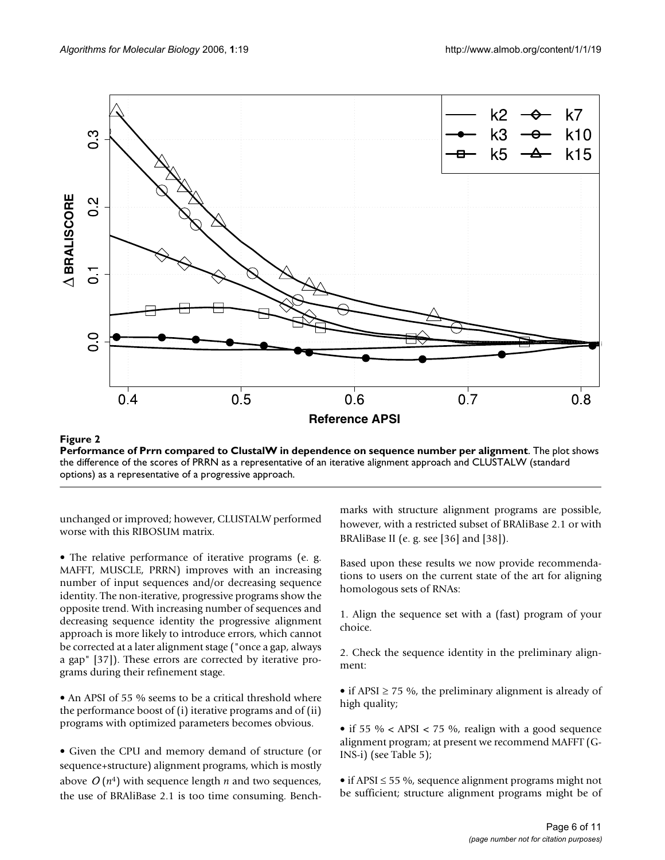

**Figure 2** Performance of Present compared to ClustalW in dependence on sequence number per alignment per alignment per alignment per alignment per alignment per alignment per alignment per alignment per alignment per alig **Performance of Prrn compared to ClustalW in dependence on sequence number per alignment**. The plot shows the difference of the scores of PRRN as a representative of an iterative alignment approach and CLUSTALW (standard options) as a representative of a progressive approach.

unchanged or improved; however, CLUSTALW performed worse with this RIBOSUM matrix.

• The relative performance of iterative programs (e. g. MAFFT, MUSCLE, PRRN) improves with an increasing number of input sequences and/or decreasing sequence identity. The non-iterative, progressive programs show the opposite trend. With increasing number of sequences and decreasing sequence identity the progressive alignment approach is more likely to introduce errors, which cannot be corrected at a later alignment stage ("once a gap, always a gap" [37]). These errors are corrected by iterative programs during their refinement stage.

• An APSI of 55 % seems to be a critical threshold where the performance boost of (i) iterative programs and of (ii) programs with optimized parameters becomes obvious.

• Given the CPU and memory demand of structure (or sequence+structure) alignment programs, which is mostly above  $O(n^4)$  with sequence length  $n$  and two sequences, the use of BRAliBase 2.1 is too time consuming. Benchmarks with structure alignment programs are possible, however, with a restricted subset of BRAliBase 2.1 or with BRAliBase II (e. g. see [36] and [38]).

Based upon these results we now provide recommendations to users on the current state of the art for aligning homologous sets of RNAs:

1. Align the sequence set with a (fast) program of your choice.

2. Check the sequence identity in the preliminary alignment:

• if APSI  $\geq$  75 %, the preliminary alignment is already of high quality;

• if 55 % < APSI < 75 %, realign with a good sequence alignment program; at present we recommend MAFFT (G-INS-i) (see Table 5);

• if APSI  $\leq$  55 %, sequence alignment programs might not be sufficient; structure alignment programs might be of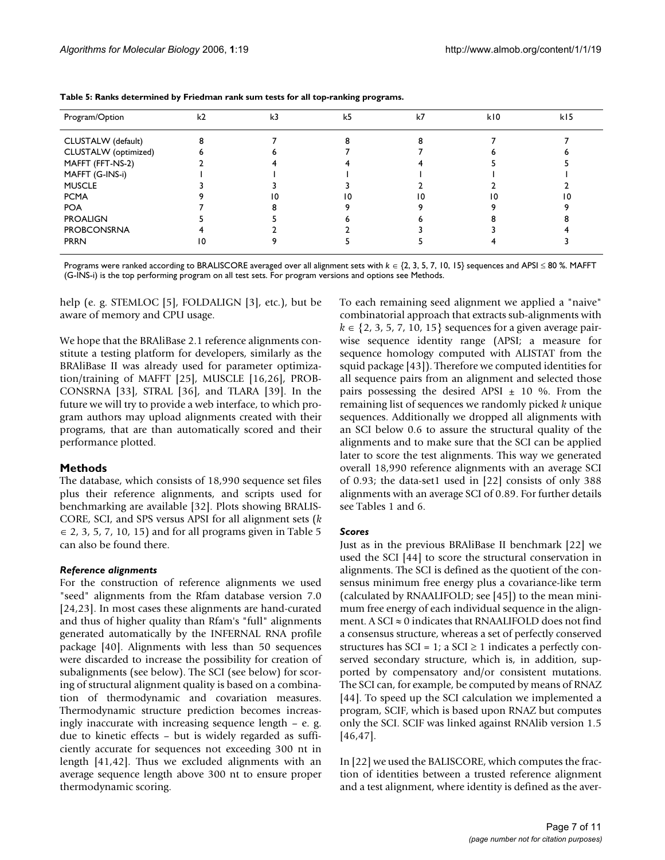| Program/Option       | k <sub>2</sub> | k3 | k <sub>5</sub> | k7 | k10 | k15 |
|----------------------|----------------|----|----------------|----|-----|-----|
| CLUSTALW (default)   |                |    |                |    |     |     |
| CLUSTALW (optimized) |                |    |                |    |     |     |
| MAFFT (FFT-NS-2)     |                |    |                |    |     |     |
| MAFFT (G-INS-i)      |                |    |                |    |     |     |
| <b>MUSCLE</b>        |                |    |                |    |     |     |
| <b>PCMA</b>          |                |    |                |    |     |     |
| <b>POA</b>           |                |    |                |    |     |     |
| <b>PROALIGN</b>      |                |    |                |    |     |     |
| <b>PROBCONSRNA</b>   |                |    |                |    |     |     |
| <b>PRRN</b>          | 10             |    |                |    |     |     |

**Table 5: Ranks determined by Friedman rank sum tests for all top-ranking programs.**

Programs were ranked according to BRALISCORE averaged over all alignment sets with  $k \in \{2, 3, 5, 7, 10, 15\}$  sequences and APSI ≤ 80 %. MAFFT (G-INS-i) is the top performing program on all test sets. For program versions and options see Methods.

help (e. g. STEMLOC [5], FOLDALIGN [3], etc.), but be aware of memory and CPU usage.

We hope that the BRAliBase 2.1 reference alignments constitute a testing platform for developers, similarly as the BRAliBase II was already used for parameter optimization/training of MAFFT [25], MUSCLE [16,26], PROB-CONSRNA [33], STRAL [36], and TLARA [39]. In the future we will try to provide a web interface, to which program authors may upload alignments created with their programs, that are than automatically scored and their performance plotted.

### **Methods**

The database, which consists of 18,990 sequence set files plus their reference alignments, and scripts used for benchmarking are available [32]. Plots showing BRALIS-CORE, SCI, and SPS versus APSI for all alignment sets (*k*  $\epsilon$  2, 3, 5, 7, 10, 15) and for all programs given in Table 5 can also be found there.

#### *Reference alignments*

For the construction of reference alignments we used "seed" alignments from the Rfam database version 7.0 [24,23]. In most cases these alignments are hand-curated and thus of higher quality than Rfam's "full" alignments generated automatically by the INFERNAL RNA profile package [40]. Alignments with less than 50 sequences were discarded to increase the possibility for creation of subalignments (see below). The SCI (see below) for scoring of structural alignment quality is based on a combination of thermodynamic and covariation measures. Thermodynamic structure prediction becomes increasingly inaccurate with increasing sequence length – e. g. due to kinetic effects – but is widely regarded as sufficiently accurate for sequences not exceeding 300 nt in length [41,42]. Thus we excluded alignments with an average sequence length above 300 nt to ensure proper thermodynamic scoring.

To each remaining seed alignment we applied a "naive" combinatorial approach that extracts sub-alignments with *k* ∈ {2, 3, 5, 7, 10, 15} sequences for a given average pairwise sequence identity range (APSI; a measure for sequence homology computed with ALISTAT from the squid package [43]). Therefore we computed identities for all sequence pairs from an alignment and selected those pairs possessing the desired APSI  $\pm$  10 %. From the remaining list of sequences we randomly picked *k* unique sequences. Additionally we dropped all alignments with an SCI below 0.6 to assure the structural quality of the alignments and to make sure that the SCI can be applied later to score the test alignments. This way we generated overall 18,990 reference alignments with an average SCI of 0.93; the data-set1 used in [22] consists of only 388 alignments with an average SCI of 0.89. For further details see Tables 1 and 6.

#### *Scores*

Just as in the previous BRAliBase II benchmark [22] we used the SCI [44] to score the structural conservation in alignments. The SCI is defined as the quotient of the consensus minimum free energy plus a covariance-like term (calculated by RNAALIFOLD; see [45]) to the mean minimum free energy of each individual sequence in the alignment. A SCI  $\approx$  0 indicates that RNAALIFOLD does not find a consensus structure, whereas a set of perfectly conserved structures has SCI = 1; a SCI  $\geq$  1 indicates a perfectly conserved secondary structure, which is, in addition, supported by compensatory and/or consistent mutations. The SCI can, for example, be computed by means of RNAZ [44]. To speed up the SCI calculation we implemented a program, SCIF, which is based upon RNAZ but computes only the SCI. SCIF was linked against RNAlib version 1.5 [46,47].

In [22] we used the BALISCORE, which computes the fraction of identities between a trusted reference alignment and a test alignment, where identity is defined as the aver-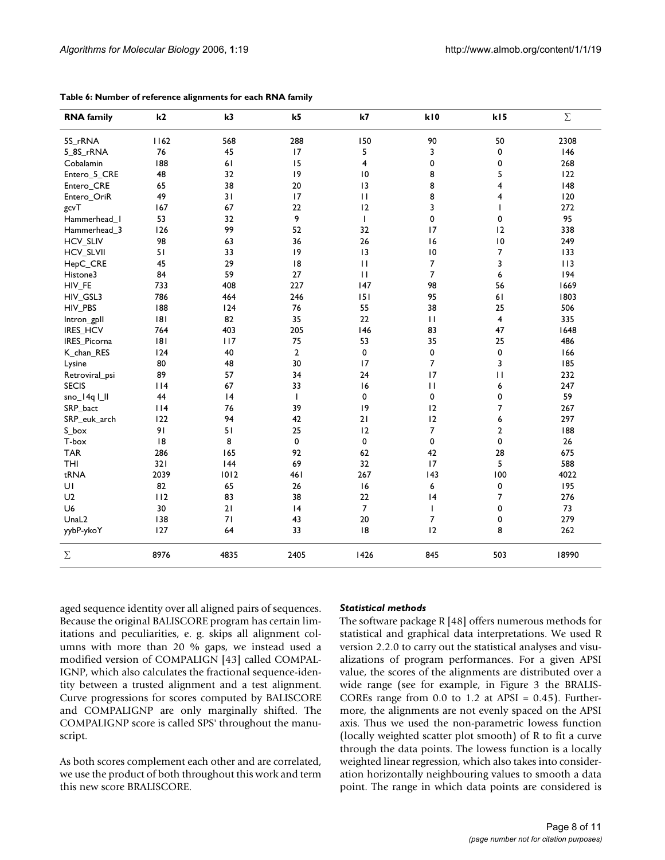| <b>RNA</b> family | k2   | k3   | k <sub>5</sub> | k7              | kI0             | k15             | $\Sigma$ |
|-------------------|------|------|----------------|-----------------|-----------------|-----------------|----------|
| 5S rRNA           | 1162 | 568  | 288            | 150             | 90              | 50              | 2308     |
| 5_8S_rRNA         | 76   | 45   | 17             | 5               | 3               | 0               | 146      |
| Cobalamin         | 188  | 61   | 15             | 4               | 0               | 0               | 268      |
| Entero_5_CRE      | 48   | 32   | 9              | $\overline{10}$ | 8               | 5               | 122      |
| Entero_CRE        | 65   | 38   | 20             | 3               | 8               | 4               | 148      |
| Entero_OriR       | 49   | 31   | 17             | $\mathbf{H}$    | 8               | 4               | 120      |
| gcvT              | 167  | 67   | 22             | 12              | 3               | $\mathbf{I}$    | 272      |
| Hammerhead_I      | 53   | 32   | 9              | $\mathbf{I}$    | 0               | 0               | 95       |
| Hammerhead_3      | 126  | 99   | 52             | 32              | 17              | 12              | 338      |
| <b>HCV_SLIV</b>   | 98   | 63   | 36             | 26              | 16              | $\overline{10}$ | 249      |
| <b>HCV_SLVII</b>  | 51   | 33   | 9              | 3               | $\overline{10}$ | 7               | 133      |
| HepC_CRE          | 45   | 29   | 8              | $\mathbf{H}$    | $\overline{7}$  | 3               | 113      |
| Histone3          | 84   | 59   | 27             | $\mathbf{H}$    | $\overline{7}$  | 6               | 194      |
| HIV_FE            | 733  | 408  | 227            | 147             | 98              | 56              | 1669     |
| HIV_GSL3          | 786  | 464  | 246            | 151             | 95              | 61              | 1803     |
| HIV_PBS           | 188  | 124  | 76             | 55              | 38              | 25              | 506      |
| Intron_gpll       | 8    | 82   | 35             | 22              | $\mathbf{H}$    | $\overline{4}$  | 335      |
| IRES_HCV          | 764  | 403  | 205            | 146             | 83              | 47              | 1648     |
| IRES_Picorna      | 8    | 117  | 75             | 53              | 35              | 25              | 486      |
| K_chan_RES        | 124  | 40   | $\overline{2}$ | 0               | 0               | 0               | 166      |
| Lysine            | 80   | 48   | 30             | 17              | $\overline{7}$  | 3               | 185      |
| Retroviral_psi    | 89   | 57   | 34             | 24              | 17              | $\mathbf{H}$    | 232      |
| <b>SECIS</b>      | 114  | 67   | 33             | 16              | $\mathbf{H}$    | 6               | 247      |
| sno_14q I_II      | 44   | 4    | $\mathbf{I}$   | $\mathbf 0$     | 0               | 0               | 59       |
| SRP_bact          | 114  | 76   | 39             | 9               | 12              | 7               | 267      |
| SRP_euk_arch      | 122  | 94   | 42             | 21              | 12              | 6               | 297      |
| S_box             | 91   | 51   | 25             | 12              | $\overline{7}$  | $\overline{2}$  | 188      |
| T-box             | 8    | 8    | 0              | $\pmb{0}$       | 0               | 0               | 26       |
| <b>TAR</b>        | 286  | 165  | 92             | 62              | 42              | 28              | 675      |
| <b>THI</b>        | 321  | 144  | 69             | 32              | 17              | 5               | 588      |
| tRNA              | 2039 | 1012 | <b>461</b>     | 267             | 143             | 100             | 4022     |
| UI                | 82   | 65   | 26             | 16              | 6               | 0               | 195      |
| U <sub>2</sub>    | 112  | 83   | 38             | 22              | 4               | 7               | 276      |
| U <sub>6</sub>    | 30   | 21   | 4              | $\overline{7}$  | $\mathsf{I}$    | 0               | 73       |
| UnaL <sub>2</sub> | 138  | 71   | 43             | 20              | $\overline{7}$  | 0               | 279      |
| yybP-ykoY         | 127  | 64   | 33             | 8               | 12              | 8               | 262      |
| $\Sigma$          | 8976 | 4835 | 2405           | 1426            | 845             | 503             | 18990    |

**Table 6: Number of reference alignments for each RNA family**

aged sequence identity over all aligned pairs of sequences. Because the original BALISCORE program has certain limitations and peculiarities, e. g. skips all alignment columns with more than 20 % gaps, we instead used a modified version of COMPALIGN [43] called COMPAL-IGNP, which also calculates the fractional sequence-identity between a trusted alignment and a test alignment. Curve progressions for scores computed by BALISCORE and COMPALIGNP are only marginally shifted. The COMPALIGNP score is called SPS' throughout the manuscript.

As both scores complement each other and are correlated, we use the product of both throughout this work and term this new score BRALISCORE.

# *Statistical methods*

The software package R [48] offers numerous methods for statistical and graphical data interpretations. We used R version 2.2.0 to carry out the statistical analyses and visualizations of program performances. For a given APSI value, the scores of the alignments are distributed over a wide range (see for example, in Figure 3 the BRALIS-COREs range from  $0.0$  to  $1.2$  at APSI =  $0.45$ ). Furthermore, the alignments are not evenly spaced on the APSI axis. Thus we used the non-parametric lowess function (locally weighted scatter plot smooth) of R to fit a curve through the data points. The lowess function is a locally weighted linear regression, which also takes into consideration horizontally neighbouring values to smooth a data point. The range in which data points are considered is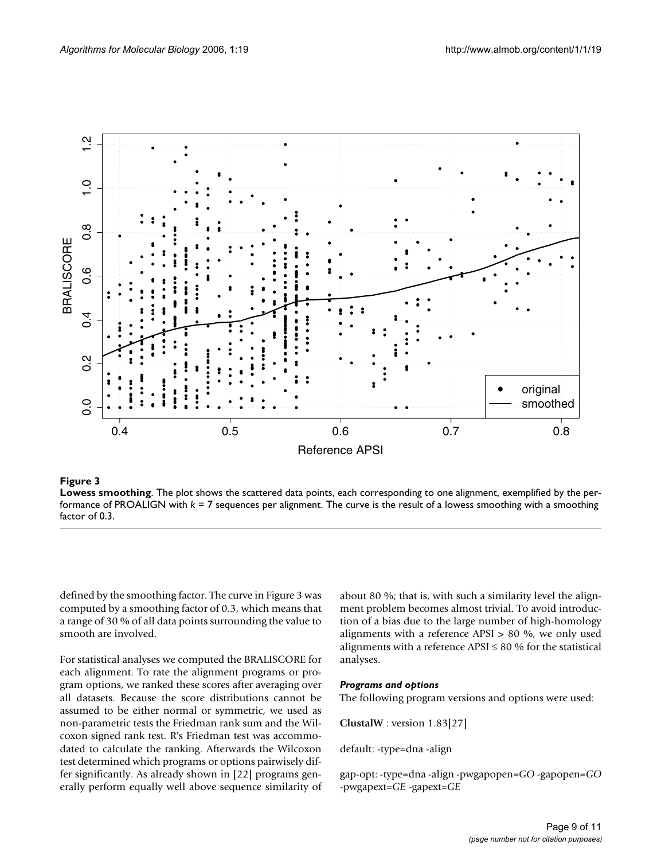

### **Figure 3**

**Lowess smoothing**. The plot shows the scattered data points, each corresponding to one alignment, exemplified by the performance of PROALIGN with *k* = 7 sequences per alignment. The curve is the result of a lowess smoothing with a smoothing factor of 0.3.

defined by the smoothing factor. The curve in Figure 3 was computed by a smoothing factor of 0.3, which means that a range of 30 % of all data points surrounding the value to smooth are involved.

For statistical analyses we computed the BRALISCORE for each alignment. To rate the alignment programs or program options, we ranked these scores after averaging over all datasets. Because the score distributions cannot be assumed to be either normal or symmetric, we used as non-parametric tests the Friedman rank sum and the Wilcoxon signed rank test. R's Friedman test was accommodated to calculate the ranking. Afterwards the Wilcoxon test determined which programs or options pairwisely differ significantly. As already shown in [22] programs generally perform equally well above sequence similarity of about 80 %; that is, with such a similarity level the alignment problem becomes almost trivial. To avoid introduction of a bias due to the large number of high-homology alignments with a reference APSI > 80 %, we only used alignments with a reference APSI  $\leq 80$  % for the statistical analyses.

### *Programs and options*

The following program versions and options were used:

**ClustalW** : version 1.83[27]

default: -type=dna -align

gap-opt: -type=dna -align -pwgapopen=*GO* -gapopen=*GO* -pwgapext=*GE* -gapext=*GE*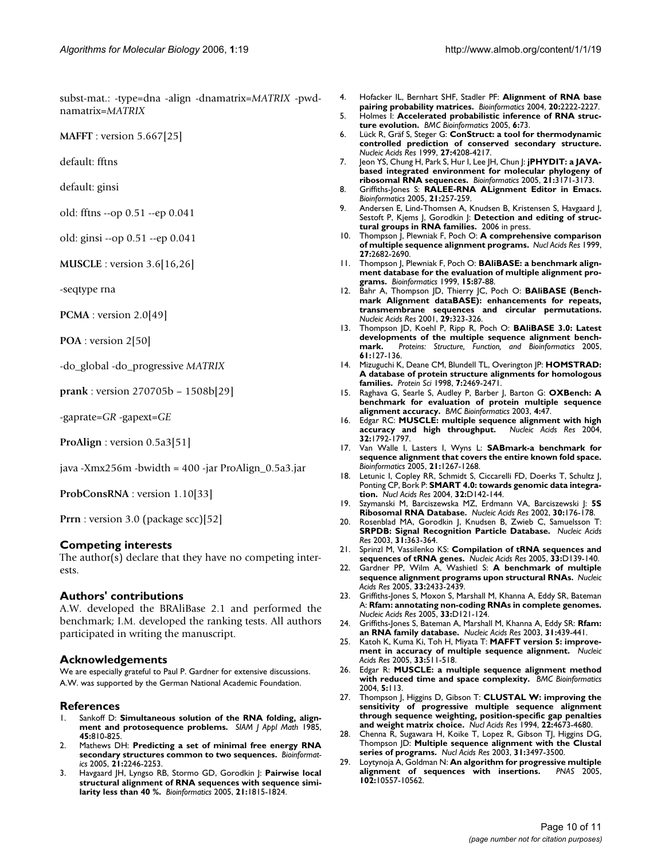subst-mat.: -type=dna -align -dnamatrix=*MATRIX* -pwdnamatrix=*MATRIX*

**MAFFT** : version 5.667[25]

default: fftns

default: ginsi

old: fftns --op 0.51 --ep 0.041

old: ginsi --op 0.51 --ep 0.041

**MUSCLE** : version 3.6[16,26]

-seqtype rna

**PCMA** : version 2.0[49]

**POA** : version 2[50]

-do\_global -do\_progressive *MATRIX*

**prank** : version 270705b – 1508b[29]

-gaprate=*GR* -gapext=*GE*

**ProAlign** : version 0.5a3[51]

java -Xmx256m -bwidth = 400 -jar ProAlign\_0.5a3.jar

**ProbConsRNA** : version 1.10[33]

**Prrn** : version 3.0 (package scc)[52]

#### **Competing interests**

The author(s) declare that they have no competing interests.

#### **Authors' contributions**

A.W. developed the BRAliBase 2.1 and performed the benchmark; I.M. developed the ranking tests. All authors participated in writing the manuscript.

#### **Acknowledgements**

We are especially grateful to Paul P. Gardner for extensive discussions. A.W. was supported by the German National Academic Foundation.

#### **References**

- 1. Sankoff D: **Simultaneous solution of the RNA folding, alignment and protosequence problems.** *SIAM J Appl Math* 1985, **45:**810-825.
- 2. Mathews DH: **[Predicting a set of minimal free energy RNA](http://www.ncbi.nlm.nih.gov/entrez/query.fcgi?cmd=Retrieve&db=PubMed&dopt=Abstract&list_uids=15731207) [secondary structures common to two sequences.](http://www.ncbi.nlm.nih.gov/entrez/query.fcgi?cmd=Retrieve&db=PubMed&dopt=Abstract&list_uids=15731207)** *Bioinformatics* 2005, **21:**2246-2253.
- 3. Havgaard JH, Lyngso RB, Stormo GD, Gorodkin J: **[Pairwise local](http://www.ncbi.nlm.nih.gov/entrez/query.fcgi?cmd=Retrieve&db=PubMed&dopt=Abstract&list_uids=15657094) [structural alignment of RNA sequences with sequence simi](http://www.ncbi.nlm.nih.gov/entrez/query.fcgi?cmd=Retrieve&db=PubMed&dopt=Abstract&list_uids=15657094)[larity less than 40 %.](http://www.ncbi.nlm.nih.gov/entrez/query.fcgi?cmd=Retrieve&db=PubMed&dopt=Abstract&list_uids=15657094)** *Bioinformatics* 2005, **21:**1815-1824.
- 4. Hofacker IL, Bernhart SHF, Stadler PF: **[Alignment of RNA base](http://www.ncbi.nlm.nih.gov/entrez/query.fcgi?cmd=Retrieve&db=PubMed&dopt=Abstract&list_uids=15073017) [pairing probability matrices.](http://www.ncbi.nlm.nih.gov/entrez/query.fcgi?cmd=Retrieve&db=PubMed&dopt=Abstract&list_uids=15073017)** *Bioinformatics* 2004, **20:**2222-2227.
- 5. Holmes I: **[Accelerated probabilistic inference of RNA struc](http://www.ncbi.nlm.nih.gov/entrez/query.fcgi?cmd=Retrieve&db=PubMed&dopt=Abstract&list_uids=15790387)[ture evolution.](http://www.ncbi.nlm.nih.gov/entrez/query.fcgi?cmd=Retrieve&db=PubMed&dopt=Abstract&list_uids=15790387)** *BMC Bioinformatics* 2005, **6:**73.
- 6. Lück R, Gräf S, Steger G: **[ConStruct: a tool for thermodynamic](http://www.ncbi.nlm.nih.gov/entrez/query.fcgi?cmd=Retrieve&db=PubMed&dopt=Abstract&list_uids=10518612) [controlled prediction of conserved secondary structure.](http://www.ncbi.nlm.nih.gov/entrez/query.fcgi?cmd=Retrieve&db=PubMed&dopt=Abstract&list_uids=10518612)** *Nucleic Acids Res* 1999, **27:**4208-4217.
- 7. Jeon YS, Chung H, Park S, Hur I, Lee JH, Chun J: **[jPHYDIT: a JAVA](http://www.ncbi.nlm.nih.gov/entrez/query.fcgi?cmd=Retrieve&db=PubMed&dopt=Abstract&list_uids=15855247)[based integrated environment for molecular phylogeny of](http://www.ncbi.nlm.nih.gov/entrez/query.fcgi?cmd=Retrieve&db=PubMed&dopt=Abstract&list_uids=15855247) [ribosomal RNA sequences.](http://www.ncbi.nlm.nih.gov/entrez/query.fcgi?cmd=Retrieve&db=PubMed&dopt=Abstract&list_uids=15855247)** *Bioinformatics* 2005, **21:**3171-3173.
- 8. Griffiths-Jones S: **[RALEE-RNA ALignment Editor in Emacs.](http://www.ncbi.nlm.nih.gov/entrez/query.fcgi?cmd=Retrieve&db=PubMed&dopt=Abstract&list_uids=15377506)** *Bioinformatics* 2005, **21:**257-259.
- 9. Andersen E, Lind-Thomsen A, Knudsen B, Kristensen S, Havgaard J, Sestoft P, Kjems J, Gorodkin J: Detection and editing of struc**tural groups in RNA families.** 2006 in press.
- 10. Thompson J, Plewniak F, Poch O: **[A comprehensive comparison](http://www.ncbi.nlm.nih.gov/entrez/query.fcgi?cmd=Retrieve&db=PubMed&dopt=Abstract&list_uids=10373585) [of multiple sequence alignment programs.](http://www.ncbi.nlm.nih.gov/entrez/query.fcgi?cmd=Retrieve&db=PubMed&dopt=Abstract&list_uids=10373585)** *Nucl Acids Res* 1999, **27:**2682-2690.
- 11. Thompson J, Plewniak F, Poch O: **[BAliBASE: a benchmark align](http://www.ncbi.nlm.nih.gov/entrez/query.fcgi?cmd=Retrieve&db=PubMed&dopt=Abstract&list_uids=10068696)[ment database for the evaluation of multiple alignment pro](http://www.ncbi.nlm.nih.gov/entrez/query.fcgi?cmd=Retrieve&db=PubMed&dopt=Abstract&list_uids=10068696)[grams.](http://www.ncbi.nlm.nih.gov/entrez/query.fcgi?cmd=Retrieve&db=PubMed&dopt=Abstract&list_uids=10068696)** *Bioinformatics* 1999, **15:**87-88.
- 12. Bahr A, Thompson JD, Thierry JC, Poch O: **[BAliBASE \(Bench](http://www.ncbi.nlm.nih.gov/entrez/query.fcgi?cmd=Retrieve&db=PubMed&dopt=Abstract&list_uids=11125126)mark Alignment dataBASE): enhancements for repeats, [transmembrane sequences and circular permutations.](http://www.ncbi.nlm.nih.gov/entrez/query.fcgi?cmd=Retrieve&db=PubMed&dopt=Abstract&list_uids=11125126)** *Nucleic Acids Res* 2001, **29:**323-326.
- 13. Thompson JD, Koehl P, Ripp R, Poch O: **BAliBASE 3.0: Latest** developments of the multiple sequence alignment bench-<br>mark. Proteins: Structure, Function, and Bioinformatics 2005, **mark.** *Proteins: Structure, Function, and Bioinformatics* 2005, **61:**127-136.
- 14. Mizuguchi K, Deane CM, Blundell TL, Overington JP: **[HOMSTRAD:](http://www.ncbi.nlm.nih.gov/entrez/query.fcgi?cmd=Retrieve&db=PubMed&dopt=Abstract&list_uids=9828015) [A database of protein structure alignments for homologous](http://www.ncbi.nlm.nih.gov/entrez/query.fcgi?cmd=Retrieve&db=PubMed&dopt=Abstract&list_uids=9828015) [families.](http://www.ncbi.nlm.nih.gov/entrez/query.fcgi?cmd=Retrieve&db=PubMed&dopt=Abstract&list_uids=9828015)** *Protein Sci* 1998, **7:**2469-2471.
- 15. Raghava G, Searle S, Audley P, Barber J, Barton G: **[OXBench: A](http://www.ncbi.nlm.nih.gov/entrez/query.fcgi?cmd=Retrieve&db=PubMed&dopt=Abstract&list_uids=14552658) [benchmark for evaluation of protein multiple sequence](http://www.ncbi.nlm.nih.gov/entrez/query.fcgi?cmd=Retrieve&db=PubMed&dopt=Abstract&list_uids=14552658) [alignment accuracy.](http://www.ncbi.nlm.nih.gov/entrez/query.fcgi?cmd=Retrieve&db=PubMed&dopt=Abstract&list_uids=14552658)** *BMC Bioinformatics* 2003, **4:**47.
- 16. Edgar RC: **[MUSCLE: multiple sequence alignment with high](http://www.ncbi.nlm.nih.gov/entrez/query.fcgi?cmd=Retrieve&db=PubMed&dopt=Abstract&list_uids=15034147) [accuracy and high throughput.](http://www.ncbi.nlm.nih.gov/entrez/query.fcgi?cmd=Retrieve&db=PubMed&dopt=Abstract&list_uids=15034147)** *Nucleic Acids Res* 2004, **32:**1792-1797.
- 17. Van Walle I, Lasters I, Wyns L: **[SABmark-a benchmark for](http://www.ncbi.nlm.nih.gov/entrez/query.fcgi?cmd=Retrieve&db=PubMed&dopt=Abstract&list_uids=15333456) [sequence alignment that covers the entire known fold space.](http://www.ncbi.nlm.nih.gov/entrez/query.fcgi?cmd=Retrieve&db=PubMed&dopt=Abstract&list_uids=15333456)** *Bioinformatics* 2005, **21:**1267-1268.
- 18. Letunic I, Copley RR, Schmidt S, Ciccarelli FD, Doerks T, Schultz J, Ponting CP, Bork P: **[SMART 4.0: towards genomic data integra](http://www.ncbi.nlm.nih.gov/entrez/query.fcgi?cmd=Retrieve&db=PubMed&dopt=Abstract&list_uids=14681379)[tion.](http://www.ncbi.nlm.nih.gov/entrez/query.fcgi?cmd=Retrieve&db=PubMed&dopt=Abstract&list_uids=14681379)** *Nucl Acids Res* 2004, **32:**D142-144.
- 19. Szymanski M, Barciszewska MZ, Erdmann VA, Barciszewski J: **[5S](http://www.ncbi.nlm.nih.gov/entrez/query.fcgi?cmd=Retrieve&db=PubMed&dopt=Abstract&list_uids=11752286) [Ribosomal RNA Database.](http://www.ncbi.nlm.nih.gov/entrez/query.fcgi?cmd=Retrieve&db=PubMed&dopt=Abstract&list_uids=11752286)** *Nucleic Acids Res* 2002, **30:**176-178.
- 20. Rosenblad MA, Gorodkin J, Knudsen B, Zwieb C, Samuelsson T: **[SRPDB: Signal Recognition Particle Database.](http://www.ncbi.nlm.nih.gov/entrez/query.fcgi?cmd=Retrieve&db=PubMed&dopt=Abstract&list_uids=12520023)** *Nucleic Acids Res* 2003, **31:**363-364.
- 21. Sprinzl M, Vassilenko KS: **[Compilation of tRNA sequences and](http://www.ncbi.nlm.nih.gov/entrez/query.fcgi?cmd=Retrieve&db=PubMed&dopt=Abstract&list_uids=15608164) [sequences of tRNA genes.](http://www.ncbi.nlm.nih.gov/entrez/query.fcgi?cmd=Retrieve&db=PubMed&dopt=Abstract&list_uids=15608164)** *Nucleic Acids Res* 2005, **33:**D139-140.
- 22. Gardner PP, Wilm A, Washietl S: **[A benchmark of multiple](http://www.ncbi.nlm.nih.gov/entrez/query.fcgi?cmd=Retrieve&db=PubMed&dopt=Abstract&list_uids=15860779) [sequence alignment programs upon structural RNAs.](http://www.ncbi.nlm.nih.gov/entrez/query.fcgi?cmd=Retrieve&db=PubMed&dopt=Abstract&list_uids=15860779)** *Nucleic Acids Res* 2005, **33:**2433-2439.
- 23. Griffiths-Jones S, Moxon S, Marshall M, Khanna A, Eddy SR, Bateman A: **[Rfam: annotating non-coding RNAs in complete genomes.](http://www.ncbi.nlm.nih.gov/entrez/query.fcgi?cmd=Retrieve&db=PubMed&dopt=Abstract&list_uids=15608160)** *Nucleic Acids Res* 2005, **33:**D121-124.
- 24. Griffiths-Jones S, Bateman A, Marshall M, Khanna A, Eddy SR: **[Rfam:](http://www.ncbi.nlm.nih.gov/entrez/query.fcgi?cmd=Retrieve&db=PubMed&dopt=Abstract&list_uids=12520045) [an RNA family database.](http://www.ncbi.nlm.nih.gov/entrez/query.fcgi?cmd=Retrieve&db=PubMed&dopt=Abstract&list_uids=12520045)** *Nucleic Acids Res* 2003, **31:**439-441.
- 25. Katoh K, Kuma Ki, Toh H, Miyata T: **[MAFFT version 5: improve](http://www.ncbi.nlm.nih.gov/entrez/query.fcgi?cmd=Retrieve&db=PubMed&dopt=Abstract&list_uids=15661851)[ment in accuracy of multiple sequence alignment.](http://www.ncbi.nlm.nih.gov/entrez/query.fcgi?cmd=Retrieve&db=PubMed&dopt=Abstract&list_uids=15661851)** *Nucleic Acids Res* 2005, **33:**511-518.
- 26. Edgar R: **[MUSCLE: a multiple sequence alignment method](http://www.ncbi.nlm.nih.gov/entrez/query.fcgi?cmd=Retrieve&db=PubMed&dopt=Abstract&list_uids=15318951) [with reduced time and space complexity.](http://www.ncbi.nlm.nih.gov/entrez/query.fcgi?cmd=Retrieve&db=PubMed&dopt=Abstract&list_uids=15318951)** *BMC Bioinformatics* 2004, **5:**113.
- 27. Thompson J, Higgins D, Gibson T: **[CLUSTAL W: improving the](http://www.ncbi.nlm.nih.gov/entrez/query.fcgi?cmd=Retrieve&db=PubMed&dopt=Abstract&list_uids=7984417) sensitivity of progressive multiple sequence alignment [through sequence weighting, position-specific gap penalties](http://www.ncbi.nlm.nih.gov/entrez/query.fcgi?cmd=Retrieve&db=PubMed&dopt=Abstract&list_uids=7984417) [and weight matrix choice.](http://www.ncbi.nlm.nih.gov/entrez/query.fcgi?cmd=Retrieve&db=PubMed&dopt=Abstract&list_uids=7984417)** *Nucl Acids Res* 1994, **22:**4673-4680.
- 28. Chenna R, Sugawara H, Koike T, Lopez R, Gibson TJ, Higgins DG, Thompson JD: **[Multiple sequence alignment with the Clustal](http://www.ncbi.nlm.nih.gov/entrez/query.fcgi?cmd=Retrieve&db=PubMed&dopt=Abstract&list_uids=12824352) [series of programs.](http://www.ncbi.nlm.nih.gov/entrez/query.fcgi?cmd=Retrieve&db=PubMed&dopt=Abstract&list_uids=12824352)** *Nucl Acids Res* 2003, **31:**3497-3500.
- 29. Loytynoja A, Goldman N: **[An algorithm for progressive multiple](http://www.ncbi.nlm.nih.gov/entrez/query.fcgi?cmd=Retrieve&db=PubMed&dopt=Abstract&list_uids=16000407) [alignment of sequences with insertions.](http://www.ncbi.nlm.nih.gov/entrez/query.fcgi?cmd=Retrieve&db=PubMed&dopt=Abstract&list_uids=16000407)** *PNAS* 2005, **102:**10557-10562.